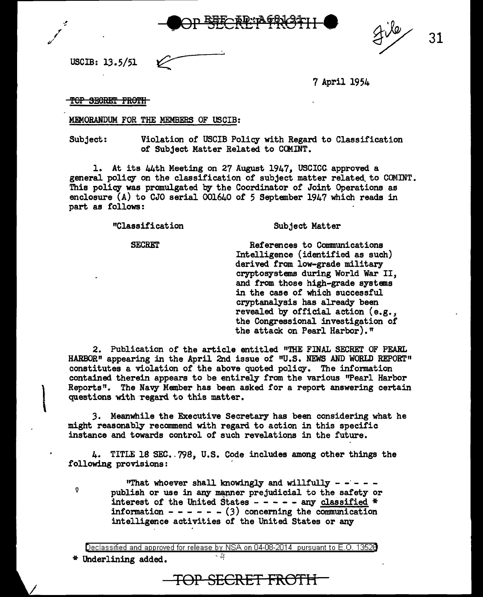

USCIB: 13.5/51

/ ,;/'

 $\overline{\phantom{a}}$ 

 $\Omega$ 

 $\overline{\phantom{a}}$ 

 $4\frac{1}{8}$  31

7 April 1954

## T<del>OP SECRET FROTH</del>

### MEMORANDUM FOR THE MEMBERS OF USCIB:

Subject: Violation of USCIB Policy with Regard to Classification of Subject Matter Related to COMINT.

1. At its 44th Meeting on 27 August 1947, USCICC. approved a general policy on the classification of subject matter related. to COMINT. This policy was promulgated by the Coordinator of Joint Operations as enclosure (A) to CJO serial 001640 of 5 September 1947 which reads in part as follows:

"Classification

#### Subject Matter

#### SECRET

References to Communications Intelligence (identified as such) derived from low-grade military cryptosystems during World War II, and from those high-grade systems in the case of which successful cryptanalysis has already been revealed by official action (e.g., the Congressional investigation of the attack on Pearl Harbor)."

2. Publication of the article entitled "THE FINAL SECRET OF PEARL HARBOR" appearing in the April 2nd issue of "U.S. NEWS AND WORLD REPORT" constitutes a violation of the above quoted policy. The infonnation contained therein appears to be entirely from the various "Pearl Harbor Reports". The Navy Member has been asked for a report answering certain questions with regard to this matter.

*3.* Meanwhile the Executive Secretary has been considering what he might reasonably recommend with regard to action in this specific instance and towards control of such revelations in the future.

4. TITLE 18 SEC .•. 798, U.S. Code includes among other things the following provisions:

> "That whoever shall knowingly and willfully - - - - -<br>publish or use in any manner prejudicial to the safety or interest of the United States - - - - - any classified \* information  $- - - - - (3)$  concerning the communication intelligence activities of the United States or any

Declassified and approved for release by NSA on 04-08-2014 pursuant to E. 0. 1352B \* Underlining added.

TOP SECRET FROTH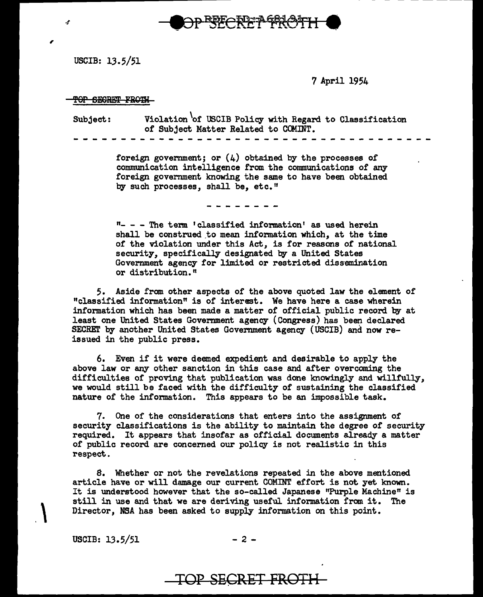USCIB: 13.5/51

7 April 1954

#### TOP SEGRET FROTH-

.:f

,

Subject: Violation 'or USCIB Policy with Regard to Classification of Subject Matter Related to CCMINT.

foreign government; or  $(4)$  obtained by the processes of communication intelligence from the communications of any foreign government knowing the same to have been obtained by such processes, shall be, etc."

ためさせ

"- - - The term 'classified information' as used herein shall be construed to mean information which, at the time of the violation under this Act, is for reasons of national security, specifically designated by a United States Government agency for limited or restricted dissemination or distribution."

*5.* Aside from other aspects of the above quoted law the element of "classified information" is of interest. We have here a case wherein information which has been made a matter of official public record by at least one United States Government agency (Congress) has been declared SECRET by another United States Government agency (USCIB) and now reissued in the public press.

6. Even if it were deemed expedient and desirable to apply the above law or any other sanction in this case and after overcoming the difficulties or proving that publication was done knowingly and willfully, we would still be faced with the difficulty of sustaining the classified nature of the information. This appears to be an impossible task.

7. One of the considerations that enters into the assignment of security classifications is the ability to maintain the degree of security required. It appears that insofar as official documents already a matter of public record are concerned our policy is not realistic in this respect.

8. Whether or not the revelations repeated in the above mentioned article have or will damage our current COMINT effort is not yet known. It is understood however that the so-called Japanese "Purple Machine" is still in use and that we are deriving useful information from it. The Director, NSA has been asked to supply information on this point.

USCIB:  $13.5/51$  - 2 -

 $\mathcal{N}_{\mathcal{N}}$ 

# TOP SECRET FROTH